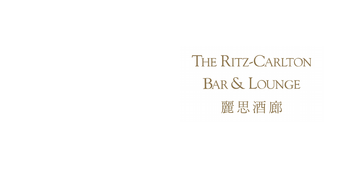# THE RITZ-CARLTON BAR & LOUNGE 麗思酒廊